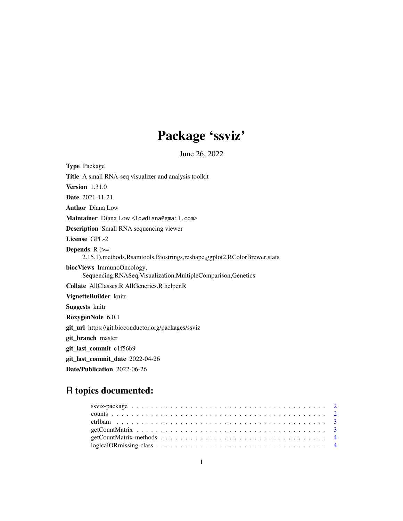# Package 'ssviz'

June 26, 2022

| <b>Type Package</b>                                                                                  |
|------------------------------------------------------------------------------------------------------|
| <b>Title</b> A small RNA-seq visualizer and analysis toolkit                                         |
| <b>Version</b> $1.31.0$                                                                              |
| <b>Date</b> 2021-11-21                                                                               |
| <b>Author</b> Diana Low                                                                              |
| Maintainer Diana Low <lowdiana@gmail.com></lowdiana@gmail.com>                                       |
| <b>Description</b> Small RNA sequencing viewer                                                       |
| License GPL-2                                                                                        |
| Depends $R$ $\geq$<br>2.15.1), methods, Rsamtools, Biostrings, reshape, ggplot2, RColorBrewer, stats |
| biocViews ImmunoOncology,<br>Sequencing, RNASeq, Visualization, MultipleComparison, Genetics         |
| Collate AllClasses.R AllGenerics.R helper.R                                                          |
| VignetteBuilder knitr                                                                                |
| <b>Suggests</b> knitr                                                                                |
| RoxygenNote 6.0.1                                                                                    |
| git_url https://git.bioconductor.org/packages/ssviz                                                  |
| git_branch master                                                                                    |
| git_last_commit c1f56b9                                                                              |
| git_last_commit_date 2022-04-26                                                                      |
| <b>Date/Publication</b> 2022-06-26                                                                   |

## R topics documented: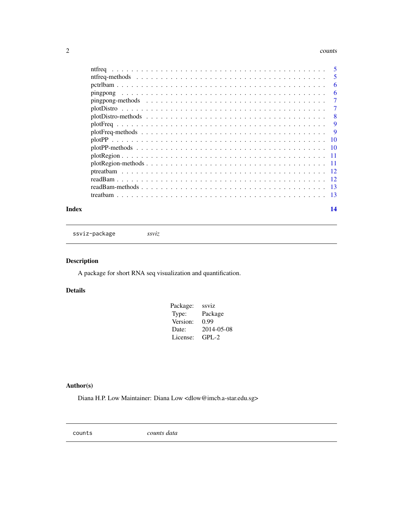#### <span id="page-1-0"></span> $2 \cos \theta$  counts

| - 5 |
|-----|
| 5   |
| 6   |
| 6   |
| 7   |
| 7   |
| 8   |
| 9   |
| -9  |
| -10 |
|     |
|     |
|     |
|     |
|     |
|     |
|     |
|     |

#### **Index** and the contract of the contract of the contract of the contract of the contract of the contract of the contract of the contract of the contract of the contract of the contract of the contract of the contract of th

ssviz-package *ssviz*

## Description

A package for short RNA seq visualization and quantification.

## Details

| Package: | ssviz      |
|----------|------------|
| Type:    | Package    |
| Version: | 0.99       |
| Date:    | 2014-05-08 |
| License: | $GPI - 2$  |

## Author(s)

Diana H.P. Low Maintainer: Diana Low <dlow@imcb.a-star.edu.sg>

counts *counts data*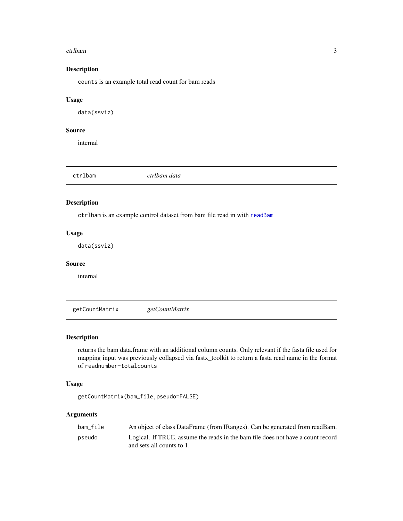#### <span id="page-2-0"></span>ctrlbam 3

## Description

counts is an example total read count for bam reads

## Usage

data(ssviz)

## Source

internal

|  | ctrlbam | ctrlbam data |  |  |
|--|---------|--------------|--|--|
|--|---------|--------------|--|--|

## Description

ctrlbam is an example control dataset from bam file read in with [readBam](#page-11-1)

## Usage

data(ssviz)

## Source

internal

getCountMatrix *getCountMatrix*

## Description

returns the bam data.frame with an additional column counts. Only relevant if the fasta file used for mapping input was previously collapsed via fastx\_toolkit to return a fasta read name in the format of readnumber-totalcounts

## Usage

getCountMatrix(bam\_file,pseudo=FALSE)

## Arguments

| bam file | An object of class DataFrame (from IRanges). Can be generated from readBam.                                  |
|----------|--------------------------------------------------------------------------------------------------------------|
| pseudo   | Logical. If TRUE, assume the reads in the bam file does not have a count record<br>and sets all counts to 1. |
|          |                                                                                                              |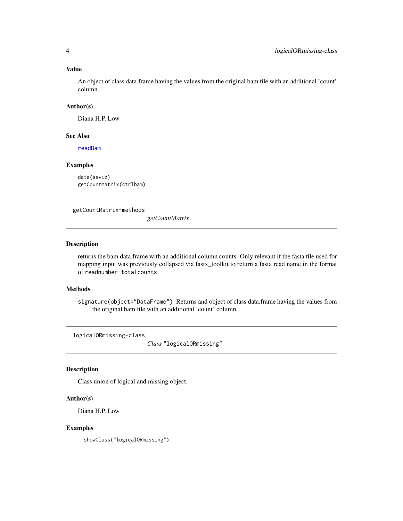## Value

An object of class data.frame having the values from the original bam file with an additional 'count' column.

## Author(s)

Diana H.P. Low

## See Also

[readBam](#page-11-1)

## Examples

data(ssviz) getCountMatrix(ctrlbam)

getCountMatrix-methods

*getCountMatrix*

## Description

returns the bam data.frame with an additional column counts. Only relevant if the fasta file used for mapping input was previously collapsed via fastx\_toolkit to return a fasta read name in the format of readnumber-totalcounts

## Methods

signature(object="DataFrame") Returns and object of class data.frame having the values from the original bam file with an additional 'count' column.

logicalORmissing-class

*Class* "logicalORmissing"

## Description

Class union of logical and missing object.

## Author(s)

Diana H.P. Low

### Examples

showClass("logicalORmissing")

<span id="page-3-0"></span>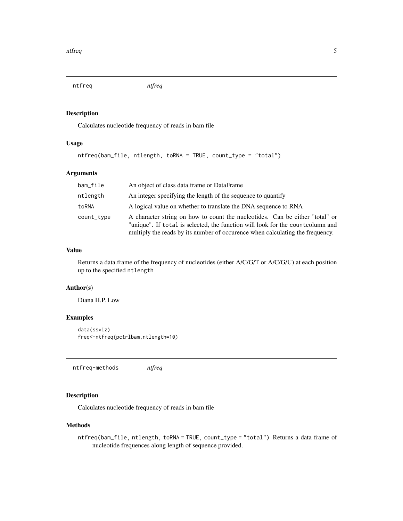<span id="page-4-1"></span><span id="page-4-0"></span>ntfreq *ntfreq*

## Description

Calculates nucleotide frequency of reads in bam file

## Usage

```
ntfreq(bam_file, ntlength, toRNA = TRUE, count_type = "total")
```
## Arguments

| bam_file   | An object of class data frame or DataFrame                                                                                                                                                                                                       |
|------------|--------------------------------------------------------------------------------------------------------------------------------------------------------------------------------------------------------------------------------------------------|
| ntlength   | An integer specifying the length of the sequence to quantify                                                                                                                                                                                     |
| toRNA      | A logical value on whether to translate the DNA sequence to RNA                                                                                                                                                                                  |
| count_type | A character string on how to count the nucleotides. Can be either "total" or<br>"unique". If total is selected, the function will look for the count column and<br>multiply the reads by its number of occurence when calculating the frequency. |

## Value

Returns a data.frame of the frequency of nucleotides (either A/C/G/T or A/C/G/U) at each position up to the specified ntlength

#### Author(s)

Diana H.P. Low

## Examples

data(ssviz) freq<-ntfreq(pctrlbam,ntlength=10)

ntfreq-methods *ntfreq*

## Description

Calculates nucleotide frequency of reads in bam file

#### Methods

ntfreq(bam\_file, ntlength, toRNA = TRUE, count\_type = "total") Returns a data frame of nucleotide frequences along length of sequence provided.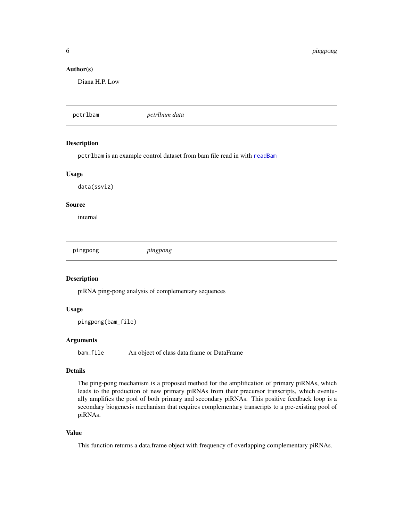<span id="page-5-0"></span>6 pingpong

## Author(s)

Diana H.P. Low

pctrlbam *pctrlbam data*

## Description

pctrlbam is an example control dataset from bam file read in with [readBam](#page-11-1)

### Usage

data(ssviz)

#### Source

internal

<span id="page-5-1"></span>pingpong *pingpong*

## Description

piRNA ping-pong analysis of complementary sequences

## Usage

pingpong(bam\_file)

## Arguments

bam\_file An object of class data.frame or DataFrame

## Details

The ping-pong mechanism is a proposed method for the amplification of primary piRNAs, which leads to the production of new primary piRNAs from their precursor transcripts, which eventually amplifies the pool of both primary and secondary piRNAs. This positive feedback loop is a secondary biogenesis mechanism that requires complementary transcripts to a pre-existing pool of piRNAs.

## Value

This function returns a data.frame object with frequency of overlapping complementary piRNAs.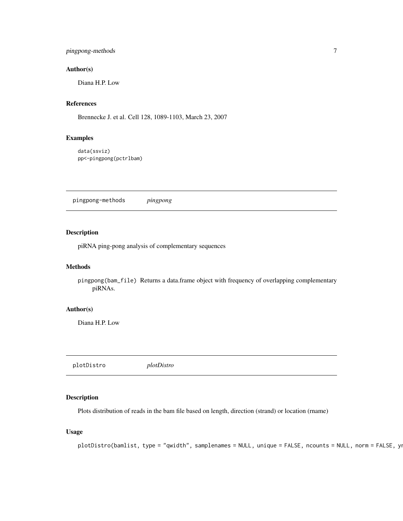## <span id="page-6-0"></span>pingpong-methods 7

## Author(s)

Diana H.P. Low

## References

Brennecke J. et al. Cell 128, 1089-1103, March 23, 2007

## Examples

data(ssviz) pp<-pingpong(pctrlbam)

pingpong-methods *pingpong*

## Description

piRNA ping-pong analysis of complementary sequences

#### Methods

pingpong(bam\_file) Returns a data.frame object with frequency of overlapping complementary piRNAs.

## Author(s)

Diana H.P. Low

plotDistro *plotDistro*

## Description

Plots distribution of reads in the bam file based on length, direction (strand) or location (rname)

#### Usage

```
plotDistro(bamlist, type = "qwidth", samplenames = NULL, unique = FALSE, ncounts = NULL, norm = FALSE, yn
```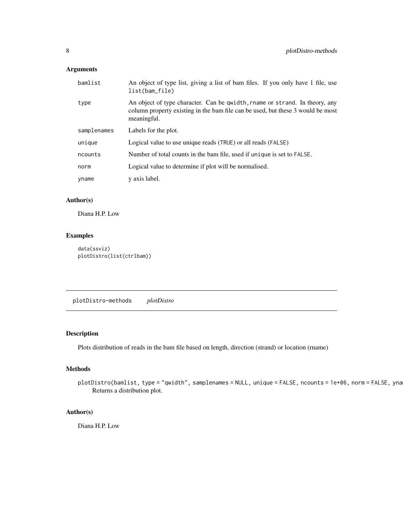## <span id="page-7-0"></span>Arguments

| bamlist     | An object of type list, giving a list of bam files. If you only have 1 file, use<br>list(bam_file)                                                                            |
|-------------|-------------------------------------------------------------------------------------------------------------------------------------------------------------------------------|
| type        | An object of type character. Can be qwidth, rname or strand. In theory, any<br>column property existing in the bam file can be used, but these 3 would be most<br>meaningful. |
| samplenames | Labels for the plot.                                                                                                                                                          |
| unique      | Logical value to use unique reads (TRUE) or all reads (FALSE)                                                                                                                 |
| ncounts     | Number of total counts in the bam file, used if unique is set to FALSE.                                                                                                       |
| norm        | Logical value to determine if plot will be normalised.                                                                                                                        |
| yname       | y axis label.                                                                                                                                                                 |

## Author(s)

Diana H.P. Low

## Examples

```
data(ssviz)
plotDistro(list(ctrlbam))
```
plotDistro-methods *plotDistro*

## Description

Plots distribution of reads in the bam file based on length, direction (strand) or location (rname)

## Methods

```
plotDistro(bamlist, type = "qwidth", samplenames = NULL, unique = FALSE, ncounts = 1e+06, norm = FALSE, yna
    Returns a distribution plot.
```
## Author(s)

Diana H.P. Low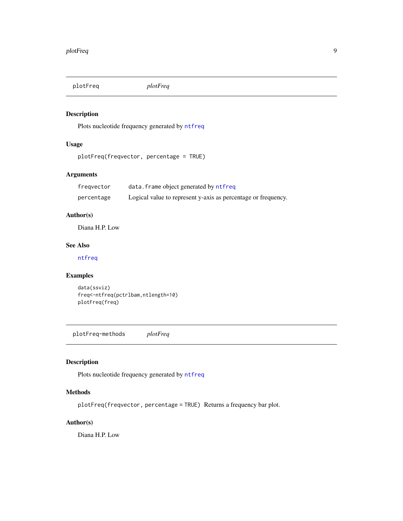<span id="page-8-0"></span>plotFreq *plotFreq*

## Description

Plots nucleotide frequency generated by [ntfreq](#page-4-1)

## Usage

```
plotFreq(freqvector, percentage = TRUE)
```
## Arguments

| freqvector | data. frame object generated by ntfreq                        |
|------------|---------------------------------------------------------------|
| percentage | Logical value to represent y-axis as percentage or frequency. |

## Author(s)

Diana H.P. Low

## See Also

[ntfreq](#page-4-1)

## Examples

```
data(ssviz)
freq<-ntfreq(pctrlbam,ntlength=10)
plotFreq(freq)
```
plotFreq-methods *plotFreq*

## Description

Plots nucleotide frequency generated by [ntfreq](#page-4-1)

## Methods

plotFreq(freqvector, percentage = TRUE) Returns a frequency bar plot.

## Author(s)

Diana H.P. Low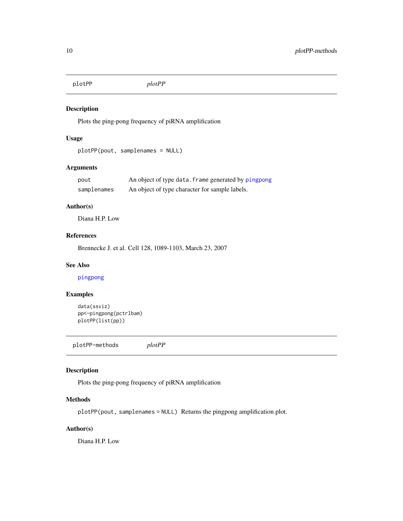<span id="page-9-0"></span>plotPP *plotPP*

## Description

Plots the ping-pong frequency of piRNA amplification

## Usage

```
plotPP(pout, samplenames = NULL)
```
## Arguments

| pout        | An object of type data. frame generated by pingpong |
|-------------|-----------------------------------------------------|
| samplenames | An object of type character for sample labels.      |

## Author(s)

Diana H.P. Low

## References

Brennecke J. et al. Cell 128, 1089-1103, March 23, 2007

### See Also

[pingpong](#page-5-1)

## Examples

```
data(ssviz)
pp<-pingpong(pctrlbam)
plotPP(list(pp))
```
plotPP-methods *plotPP*

## Description

Plots the ping-pong frequency of piRNA amplification

#### Methods

plotPP(pout, samplenames = NULL) Returns the pingpong amplification plot.

## Author(s)

Diana H.P. Low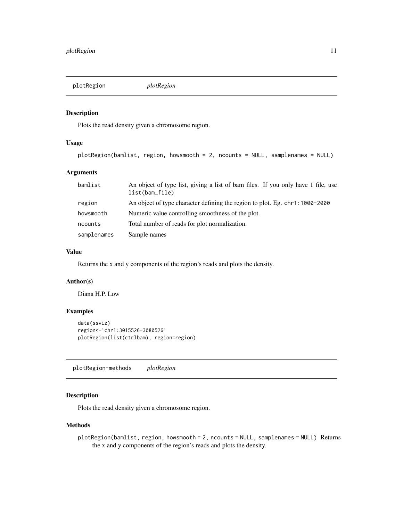<span id="page-10-0"></span>

## Description

Plots the read density given a chromosome region.

## Usage

```
plotRegion(bamlist, region, howsmooth = 2, ncounts = NULL, samplenames = NULL)
```
## Arguments

| bamlist     | An object of type list, giving a list of bam files. If you only have 1 file, use<br>list(bam_file) |
|-------------|----------------------------------------------------------------------------------------------------|
| region      | An object of type character defining the region to plot. Eg. chr1:1000-2000                        |
| howsmooth   | Numeric value controlling smoothness of the plot.                                                  |
| ncounts     | Total number of reads for plot normalization.                                                      |
| samplenames | Sample names                                                                                       |

#### Value

Returns the x and y components of the region's reads and plots the density.

### Author(s)

Diana H.P. Low

## Examples

```
data(ssviz)
region<-'chr1:3015526-3080526'
plotRegion(list(ctrlbam), region=region)
```
plotRegion-methods *plotRegion*

## Description

Plots the read density given a chromosome region.

#### Methods

plotRegion(bamlist, region, howsmooth = 2, ncounts = NULL, samplenames = NULL) Returns the x and y components of the region's reads and plots the density.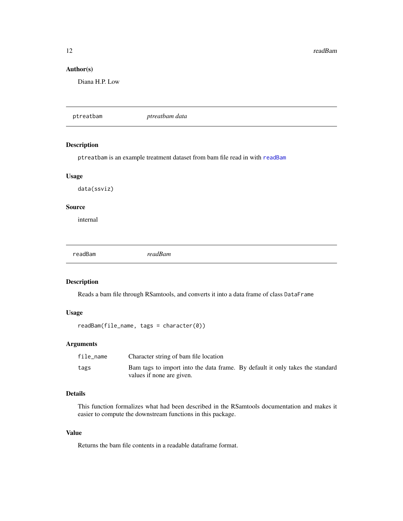<span id="page-11-0"></span>12 readBam

## Author(s)

Diana H.P. Low

ptreatbam *ptreatbam data*

## Description

ptreatbam is an example treatment dataset from bam file read in with [readBam](#page-11-1)

## Usage

data(ssviz)

## Source

internal

<span id="page-11-1"></span>readBam *readBam*

## Description

Reads a bam file through RSamtools, and converts it into a data frame of class DataFrame

## Usage

readBam(file\_name, tags = character(0))

## Arguments

| file_name | Character string of bam file location                                         |  |
|-----------|-------------------------------------------------------------------------------|--|
| tags      | Bam tags to import into the data frame. By default it only takes the standard |  |
|           | values if none are given.                                                     |  |

## Details

This function formalizes what had been described in the RSamtools documentation and makes it easier to compute the downstream functions in this package.

## Value

Returns the bam file contents in a readable dataframe format.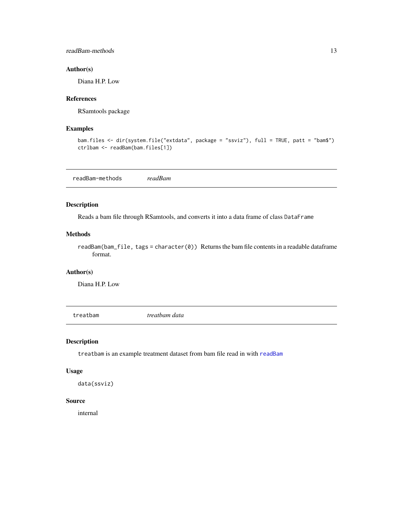## <span id="page-12-0"></span>readBam-methods 13

## Author(s)

Diana H.P. Low

## References

RSamtools package

#### Examples

```
bam.files <- dir(system.file("extdata", package = "ssviz"), full = TRUE, patt = "bam$")
ctrlbam <- readBam(bam.files[1])
```
readBam-methods *readBam*

## Description

Reads a bam file through RSamtools, and converts it into a data frame of class DataFrame

#### Methods

readBam(bam\_file, tags = character(0)) Returns the bam file contents in a readable dataframe format.

## Author(s)

Diana H.P. Low

treatbam *treatbam data*

## Description

treatbam is an example treatment dataset from bam file read in with [readBam](#page-11-1)

#### Usage

data(ssviz)

#### Source

internal